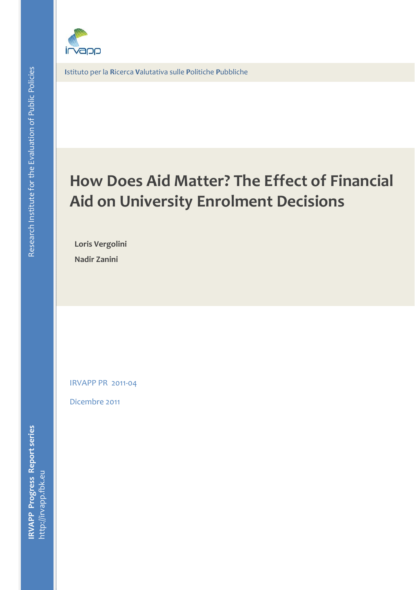

**I**stituto per la **R**icerca **V**alutativa sulle **P**olitiche **P**ubbliche

# **Paper title (line 1) How Does Aid Matter? The Effect of Financial Paper title (line 2) Aid on University Enrolment Decisions**

**Loris Vergolini**ning affiliation af

**Nadir Zanini**

IRVAPP PR 2011‐04

Dicembre 2011  $\mathcal{L}$  . The contract of the contract of  $\mathcal{L}$ 

**IRVAPP Progress Report series**<br>http://irvapp.fbk.eu http://irvapp.fbk.eu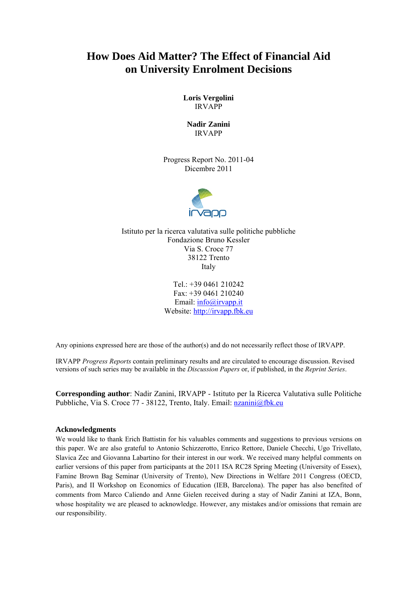## **How Does Aid Matter? The Effect of Financial Aid on University Enrolment Decisions**

**Loris Vergolini**  IRVAPP

**Nadir Zanini**  IRVAPP

Progress Report No. 2011-04 Dicembre 2011



Istituto per la ricerca valutativa sulle politiche pubbliche Fondazione Bruno Kessler Via S. Croce 77 38122 Trento Italy

> Tel.: +39 0461 210242 Fax: +39 0461 210240 Email: info@irvapp.it Website: http://irvapp.fbk.eu

Any opinions expressed here are those of the author(s) and do not necessarily reflect those of IRVAPP.

IRVAPP *Progress Reports* contain preliminary results and are circulated to encourage discussion. Revised versions of such series may be available in the *Discussion Papers* or, if published, in the *Reprint Series*.

**Corresponding author**: Nadir Zanini, IRVAPP - Istituto per la Ricerca Valutativa sulle Politiche Pubbliche, Via S. Croce 77 - 38122, Trento, Italy. Email: nzanini@fbk.eu

#### **Acknowledgments**

We would like to thank Erich Battistin for his valuables comments and suggestions to previous versions on this paper. We are also grateful to Antonio Schizzerotto, Enrico Rettore, Daniele Checchi, Ugo Trivellato, Slavica Zec and Giovanna Labartino for their interest in our work. We received many helpful comments on earlier versions of this paper from participants at the 2011 ISA RC28 Spring Meeting (University of Essex), Famine Brown Bag Seminar (University of Trento), New Directions in Welfare 2011 Congress (OECD, Paris), and II Workshop on Economics of Education (IEB, Barcelona). The paper has also benefited of comments from Marco Caliendo and Anne Gielen received during a stay of Nadir Zanini at IZA, Bonn, whose hospitality we are pleased to acknowledge. However, any mistakes and/or omissions that remain are our responsibility.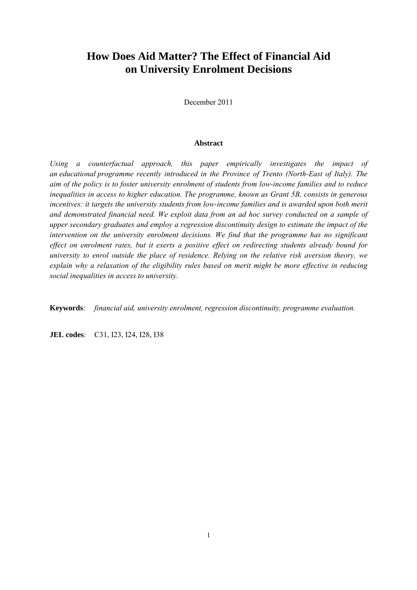## **How Does Aid Matter? The Effect of Financial Aid on University Enrolment Decisions**

December 2011

#### **Abstract**

*Using a counterfactual approach, this paper empirically investigates the impact of an educational programme recently introduced in the Province of Trento (North-East of Italy). The aim of the policy is to foster university enrolment of students from low-income families and to reduce inequalities in access to higher education. The programme, known as Grant 5B, consists in generous*  incentives: it targets the university students from low-income families and is awarded upon both merit *and demonstrated financial need. We exploit data from an ad hoc survey conducted on a sample of upper secondary graduates and employ a regression discontinuity design to estimate the impact of the intervention on the university enrolment decisions. We find that the programme has no significant effect on enrolment rates, but it exerts a positive effect on redirecting students already bound for university to enrol outside the place of residence. Relying on the relative risk aversion theory, we explain why a relaxation of the eligibility rules based on merit might be more effective in reducing social inequalities in access to university.* 

**Keywords**: *financial aid, university enrolment, regression discontinuity, programme evaluation.*

**JEL codes**: C31, I23, I24, I28, I38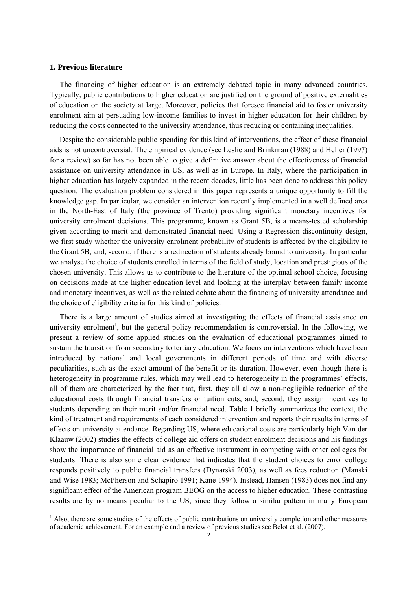#### **1. Previous literature**

The financing of higher education is an extremely debated topic in many advanced countries. Typically, public contributions to higher education are justified on the ground of positive externalities of education on the society at large. Moreover, policies that foresee financial aid to foster university enrolment aim at persuading low-income families to invest in higher education for their children by reducing the costs connected to the university attendance, thus reducing or containing inequalities.

Despite the considerable public spending for this kind of interventions, the effect of these financial aids is not uncontroversial. The empirical evidence (see Leslie and Brinkman (1988) and Heller (1997) for a review) so far has not been able to give a definitive answer about the effectiveness of financial assistance on university attendance in US, as well as in Europe. In Italy, where the participation in higher education has largely expanded in the recent decades, little has been done to address this policy question. The evaluation problem considered in this paper represents a unique opportunity to fill the knowledge gap. In particular, we consider an intervention recently implemented in a well defined area in the North-East of Italy (the province of Trento) providing significant monetary incentives for university enrolment decisions. This programme, known as Grant 5B, is a means-tested scholarship given according to merit and demonstrated financial need. Using a Regression discontinuity design, we first study whether the university enrolment probability of students is affected by the eligibility to the Grant 5B, and, second, if there is a redirection of students already bound to university. In particular we analyse the choice of students enrolled in terms of the field of study, location and prestigious of the chosen university. This allows us to contribute to the literature of the optimal school choice, focusing on decisions made at the higher education level and looking at the interplay between family income and monetary incentives, as well as the related debate about the financing of university attendance and the choice of eligibility criteria for this kind of policies.

There is a large amount of studies aimed at investigating the effects of financial assistance on university enrolment<sup>1</sup>, but the general policy recommendation is controversial. In the following, we present a review of some applied studies on the evaluation of educational programmes aimed to sustain the transition from secondary to tertiary education. We focus on interventions which have been introduced by national and local governments in different periods of time and with diverse peculiarities, such as the exact amount of the benefit or its duration. However, even though there is heterogeneity in programme rules, which may well lead to heterogeneity in the programmes' effects, all of them are characterized by the fact that, first, they all allow a non-negligible reduction of the educational costs through financial transfers or tuition cuts, and, second, they assign incentives to students depending on their merit and/or financial need. Table 1 briefly summarizes the context, the kind of treatment and requirements of each considered intervention and reports their results in terms of effects on university attendance. Regarding US, where educational costs are particularly high Van der Klaauw (2002) studies the effects of college aid offers on student enrolment decisions and his findings show the importance of financial aid as an effective instrument in competing with other colleges for students. There is also some clear evidence that indicates that the student choices to enrol college responds positively to public financial transfers (Dynarski 2003), as well as fees reduction (Manski and Wise 1983; McPherson and Schapiro 1991; Kane 1994). Instead, Hansen (1983) does not find any significant effect of the American program BEOG on the access to higher education. These contrasting results are by no means peculiar to the US, since they follow a similar pattern in many European

 $<sup>1</sup>$  Also, there are some studies of the effects of public contributions on university completion and other measures</sup> of academic achievement. For an example and a review of previous studies see Belot et al. (2007).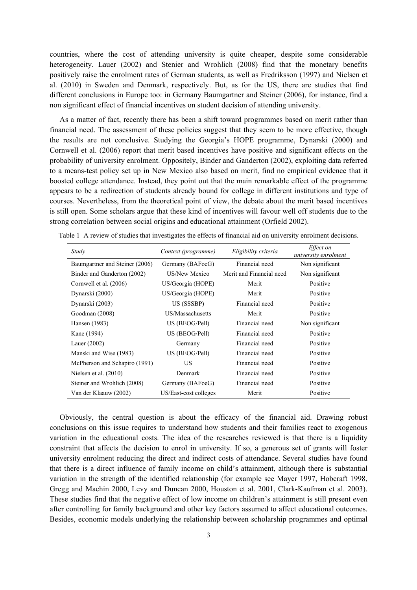countries, where the cost of attending university is quite cheaper, despite some considerable heterogeneity. Lauer (2002) and Stenier and Wrohlich (2008) find that the monetary benefits positively raise the enrolment rates of German students, as well as Fredriksson (1997) and Nielsen et al. (2010) in Sweden and Denmark, respectively. But, as for the US, there are studies that find different conclusions in Europe too: in Germany Baumgartner and Steiner (2006), for instance, find a non significant effect of financial incentives on student decision of attending university.

As a matter of fact, recently there has been a shift toward programmes based on merit rather than financial need. The assessment of these policies suggest that they seem to be more effective, though the results are not conclusive. Studying the Georgia's HOPE programme, Dynarski (2000) and Cornwell et al. (2006) report that merit based incentives have positive and significant effects on the probability of university enrolment. Oppositely, Binder and Ganderton (2002), exploiting data referred to a means-test policy set up in New Mexico also based on merit, find no empirical evidence that it boosted college attendance. Instead, they point out that the main remarkable effect of the programme appears to be a redirection of students already bound for college in different institutions and type of courses. Nevertheless, from the theoretical point of view, the debate about the merit based incentives is still open. Some scholars argue that these kind of incentives will favour well off students due to the strong correlation between social origins and educational attainment (Orfield 2002).

| Study                          | Context (programme)   | Eligibility criteria     | Effect on<br>university enrolment |
|--------------------------------|-----------------------|--------------------------|-----------------------------------|
| Baumgartner and Steiner (2006) | Germany (BAFoeG)      | Financial need           | Non significant                   |
| Binder and Ganderton (2002)    | US/New Mexico         | Merit and Financial need | Non significant                   |
| Cornwell et al. (2006)         | US/Georgia (HOPE)     | Merit                    | Positive                          |
| Dynarski (2000)                | US/Georgia (HOPE)     | Merit                    | Positive                          |
| Dynarski (2003)                | US (SSSBP)            | Financial need           | Positive                          |
| Goodman (2008)                 | US/Massachusetts      | Merit                    | Positive                          |
| Hansen (1983)                  | US (BEOG/Pell)        | Financial need           | Non significant                   |
| Kane (1994)                    | US (BEOG/Pell)        | Financial need           | Positive                          |
| Lauer $(2002)$                 | Germany               | Financial need           | Positive                          |
| Manski and Wise (1983)         | US (BEOG/Pell)        | Financial need           | Positive                          |
| McPherson and Schapiro (1991)  | US.                   | Financial need           | Positive                          |
| Nielsen et al. $(2010)$        | Denmark               | Financial need           | Positive                          |
| Steiner and Wrohlich (2008)    | Germany (BAFoeG)      | Financial need           | Positive                          |
| Van der Klaauw (2002)          | US/East-cost colleges | Merit                    | Positive                          |

Table 1 A review of studies that investigates the effects of financial aid on university enrolment decisions.

Obviously, the central question is about the efficacy of the financial aid. Drawing robust conclusions on this issue requires to understand how students and their families react to exogenous variation in the educational costs. The idea of the researches reviewed is that there is a liquidity constraint that affects the decision to enrol in university. If so, a generous set of grants will foster university enrolment reducing the direct and indirect costs of attendance. Several studies have found that there is a direct influence of family income on child's attainment, although there is substantial variation in the strength of the identified relationship (for example see Mayer 1997, Hobcraft 1998, Gregg and Machin 2000, Levy and Duncan 2000, Houston et al. 2001, Clark-Kaufman et al. 2003). These studies find that the negative effect of low income on children's attainment is still present even after controlling for family background and other key factors assumed to affect educational outcomes. Besides, economic models underlying the relationship between scholarship programmes and optimal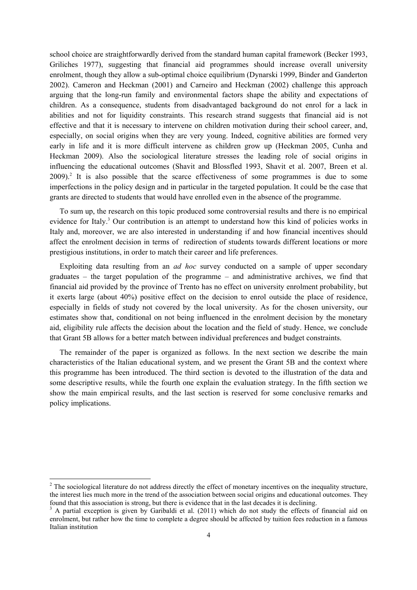school choice are straightforwardly derived from the standard human capital framework (Becker 1993, Griliches 1977), suggesting that financial aid programmes should increase overall university enrolment, though they allow a sub-optimal choice equilibrium (Dynarski 1999, Binder and Ganderton 2002). Cameron and Heckman (2001) and Carneiro and Heckman (2002) challenge this approach arguing that the long-run family and environmental factors shape the ability and expectations of children. As a consequence, students from disadvantaged background do not enrol for a lack in abilities and not for liquidity constraints. This research strand suggests that financial aid is not effective and that it is necessary to intervene on children motivation during their school career, and, especially, on social origins when they are very young. Indeed, cognitive abilities are formed very early in life and it is more difficult intervene as children grow up (Heckman 2005, Cunha and Heckman 2009). Also the sociological literature stresses the leading role of social origins in influencing the educational outcomes (Shavit and Blossfled 1993, Shavit et al. 2007, Breen et al.  $2009$ .<sup>2</sup> It is also possible that the scarce effectiveness of some programmes is due to some imperfections in the policy design and in particular in the targeted population. It could be the case that grants are directed to students that would have enrolled even in the absence of the programme.

To sum up, the research on this topic produced some controversial results and there is no empirical evidence for Italy.<sup>3</sup> Our contribution is an attempt to understand how this kind of policies works in Italy and, moreover, we are also interested in understanding if and how financial incentives should affect the enrolment decision in terms of redirection of students towards different locations or more prestigious institutions, in order to match their career and life preferences.

Exploiting data resulting from an *ad hoc* survey conducted on a sample of upper secondary graduates – the target population of the programme – and administrative archives, we find that financial aid provided by the province of Trento has no effect on university enrolment probability, but it exerts large (about 40%) positive effect on the decision to enrol outside the place of residence, especially in fields of study not covered by the local university. As for the chosen university, our estimates show that, conditional on not being influenced in the enrolment decision by the monetary aid, eligibility rule affects the decision about the location and the field of study. Hence, we conclude that Grant 5B allows for a better match between individual preferences and budget constraints.

The remainder of the paper is organized as follows. In the next section we describe the main characteristics of the Italian educational system, and we present the Grant 5B and the context where this programme has been introduced. The third section is devoted to the illustration of the data and some descriptive results, while the fourth one explain the evaluation strategy. In the fifth section we show the main empirical results, and the last section is reserved for some conclusive remarks and policy implications.

 $2^2$  The sociological literature do not address directly the effect of monetary incentives on the inequality structure, the interest lies much more in the trend of the association between social origins and educational outcomes. They found that this association is strong, but there is evidence that in the last decades it is declining.

<sup>&</sup>lt;sup>3</sup> A partial exception is given by Garibaldi et al. (2011) which do not study the effects of financial aid on enrolment, but rather how the time to complete a degree should be affected by tuition fees reduction in a famous Italian institution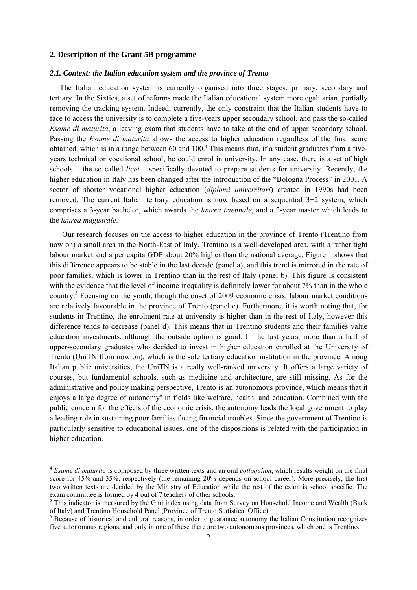#### **2. Description of the Grant 5B programme**

#### *2.1. Context: the Italian education system and the province of Trento*

The Italian education system is currently organised into three stages: primary, secondary and tertiary. In the Sixties, a set of reforms made the Italian educational system more egalitarian, partially removing the tracking system. Indeed, currently, the only constraint that the Italian students have to face to access the university is to complete a five-years upper secondary school, and pass the so-called *Esame di maturità*, a leaving exam that students have to take at the end of upper secondary school. Passing the *Esame di maturità* allows the access to higher education regardless of the final score obtained, which is in a range between 60 and 100.<sup>4</sup> This means that, if a student graduates from a fiveyears technical or vocational school, he could enrol in university. In any case, there is a set of high schools – the so called *licei* – specifically devoted to prepare students for university. Recently, the higher education in Italy has been changed after the introduction of the "Bologna Process" in 2001. A sector of shorter vocational higher education (*diplomi universitari*) created in 1990s had been removed. The current Italian tertiary education is now based on a sequential 3+2 system, which comprises a 3-year bachelor, which awards the *laurea triennale*, and a 2-year master which leads to the *laurea magistrale*.

Our research focuses on the access to higher education in the province of Trento (Trentino from now on) a small area in the North-East of Italy. Trentino is a well-developed area, with a rather tight labour market and a per capita GDP about 20% higher than the national average. Figure 1 shows that this difference appears to be stable in the last decade (panel a), and this trend is mirrored in the rate of poor families, which is lower in Trentino than in the rest of Italy (panel b). This figure is consistent with the evidence that the level of income inequality is definitely lower for about 7% than in the whole country.<sup>5</sup> Focusing on the youth, though the onset of 2009 economic crisis, labour market conditions are relatively favourable in the province of Trento (panel c). Furthermore, it is worth noting that, for students in Trentino, the enrolment rate at university is higher than in the rest of Italy, however this difference tends to decrease (panel d). This means that in Trentino students and their families value education investments, although the outside option is good. In the last years, more than a half of upper-secondary graduates who decided to invest in higher education enrolled at the University of Trento (UniTN from now on), which is the sole tertiary education institution in the province. Among Italian public universities, the UniTN is a really well-ranked university. It offers a large variety of courses, but fundamental schools, such as medicine and architecture, are still missing. As for the administrative and policy making perspective, Trento is an autonomous province, which means that it enjoys a large degree of autonomy<sup>6</sup> in fields like welfare, health, and education. Combined with the public concern for the effects of the economic crisis, the autonomy leads the local government to play a leading role in sustaining poor families facing financial troubles. Since the government of Trentino is particularly sensitive to educational issues, one of the dispositions is related with the participation in higher education.

<sup>4</sup> *Esame di maturità* is composed by three written texts and an oral *colloquium*, which results weight on the final score for 45% and 35%, respectively (the remaining 20% depends on school career). More precisely, the first two written texts are decided by the Ministry of Education while the rest of the exam is school specific. The exam committee is formed by 4 out of 7 teachers of other schools.

<sup>&</sup>lt;sup>5</sup> This indicator is measured by the Gini index using data from Survey on Household Income and Wealth (Bank of Italy) and Trentino Household Panel (Province of Trento Statistical Office). 6

<sup>&</sup>lt;sup>6</sup> Because of historical and cultural reasons, in order to guarantee autonomy the Italian Constitution recognizes five autonomous regions, and only in one of these there are two autonomous provinces, which one is Trentino.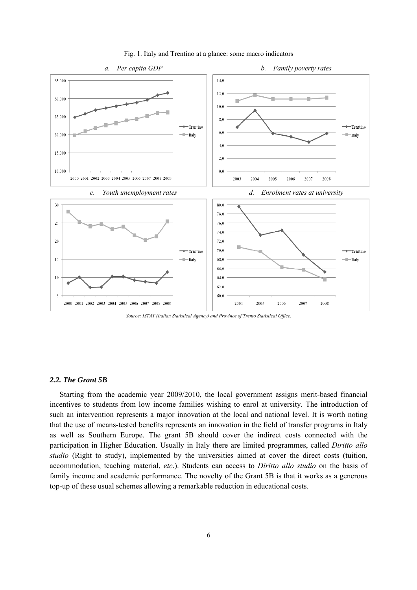

Fig. 1. Italy and Trentino at a glance: some macro indicators



#### *2.2. The Grant 5B*

Starting from the academic year 2009/2010, the local government assigns merit-based financial incentives to students from low income families wishing to enrol at university. The introduction of such an intervention represents a major innovation at the local and national level. It is worth noting that the use of means-tested benefits represents an innovation in the field of transfer programs in Italy as well as Southern Europe. The grant 5B should cover the indirect costs connected with the participation in Higher Education. Usually in Italy there are limited programmes, called *Diritto allo studio* (Right to study), implemented by the universities aimed at cover the direct costs (tuition, accommodation, teaching material, *etc*.). Students can access to *Diritto allo studio* on the basis of family income and academic performance. The novelty of the Grant 5B is that it works as a generous top-up of these usual schemes allowing a remarkable reduction in educational costs.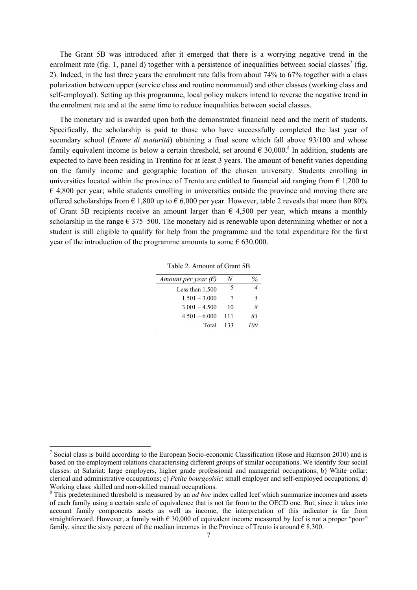The Grant 5B was introduced after it emerged that there is a worrying negative trend in the enrolment rate (fig. 1, panel d) together with a persistence of inequalities between social classes<sup>7</sup> (fig. 2). Indeed, in the last three years the enrolment rate falls from about 74% to 67% together with a class polarization between upper (service class and routine nonmanual) and other classes (working class and self-employed). Setting up this programme, local policy makers intend to reverse the negative trend in the enrolment rate and at the same time to reduce inequalities between social classes.

The monetary aid is awarded upon both the demonstrated financial need and the merit of students. Specifically, the scholarship is paid to those who have successfully completed the last year of secondary school (*Esame di maturità*) obtaining a final score which fall above 93/100 and whose family equivalent income is below a certain threshold, set around  $\epsilon$  30,000.<sup>8</sup> In addition, students are expected to have been residing in Trentino for at least 3 years. The amount of benefit varies depending on the family income and geographic location of the chosen university. Students enrolling in universities located within the province of Trento are entitled to financial aid ranging from  $\epsilon$  1,200 to  $\epsilon$  4,800 per year; while students enrolling in universities outside the province and moving there are offered scholarships from  $\epsilon$  1,800 up to  $\epsilon$  6,000 per year. However, table 2 reveals that more than 80% of Grant 5B recipients receive an amount larger than  $\epsilon$  4,500 per year, which means a monthly scholarship in the range  $\epsilon$  375–500. The monetary aid is renewable upon determining whether or not a student is still eligible to qualify for help from the programme and the total expenditure for the first year of the introduction of the programme amounts to some  $\epsilon$  630.000.

Table 2. Amount of Grant 5B

| Amount per year $(\epsilon)$ |     |     |
|------------------------------|-----|-----|
| Less than $1.500$            | 5   |     |
| $1.501 - 3.000$              | 7   | -5  |
| $3.001 - 4.500$              | 10  | 8   |
| $4.501 - 6.000$              | 111 | 83  |
| Total                        | 133 | 700 |

<sup>&</sup>lt;sup>7</sup> Social class is build according to the European Socio-economic Classification (Rose and Harrison 2010) and is based on the employment relations characterising different groups of similar occupations. We identify four social classes: a) Salariat: large employers, higher grade professional and managerial occupations; b) White collar: clerical and administrative occupations; c) *Petite bourgeoisie*: small employer and self-employed occupations; d) Working class: skilled and non-skilled manual occupations.

<sup>&</sup>lt;sup>8</sup> This predetermined threshold is measured by an *ad hoc* index called Icef which summarize incomes and assets of each family using a certain scale of equivalence that is not far from to the OECD one. But, since it takes into account family components assets as well as income, the interpretation of this indicator is far from straightforward. However, a family with  $\epsilon$  30,000 of equivalent income measured by Icef is not a proper "poor" family, since the sixty percent of the median incomes in the Province of Trento is around  $\epsilon$  8.300.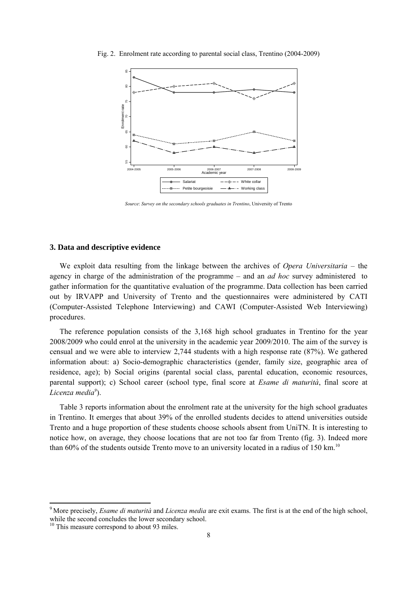

Fig. 2. Enrolment rate according to parental social class, Trentino (2004-2009)

*Source*: *Survey on the secondary schools graduates in Trentino*, University of Trento

#### **3. Data and descriptive evidence**

We exploit data resulting from the linkage between the archives of *Opera Universitaria* – the agency in charge of the administration of the programme – and an *ad hoc* survey administered to gather information for the quantitative evaluation of the programme. Data collection has been carried out by IRVAPP and University of Trento and the questionnaires were administered by CATI (Computer-Assisted Telephone Interviewing) and CAWI (Computer-Assisted Web Interviewing) procedures.

The reference population consists of the 3,168 high school graduates in Trentino for the year 2008/2009 who could enrol at the university in the academic year 2009/2010. The aim of the survey is censual and we were able to interview 2,744 students with a high response rate (87%). We gathered information about: a) Socio-demographic characteristics (gender, family size, geographic area of residence, age); b) Social origins (parental social class, parental education, economic resources, parental support); c) School career (school type, final score at *Esame di maturità*, final score at *Licenza media9* ).

Table 3 reports information about the enrolment rate at the university for the high school graduates in Trentino. It emerges that about 39% of the enrolled students decides to attend universities outside Trento and a huge proportion of these students choose schools absent from UniTN. It is interesting to notice how, on average, they choose locations that are not too far from Trento (fig. 3). Indeed more than 60% of the students outside Trento move to an university located in a radius of 150 km.<sup>10</sup>

<sup>9</sup> More precisely, *Esame di maturità* and *Licenza media* are exit exams. The first is at the end of the high school, while the second concludes the lower secondary school.

<sup>&</sup>lt;sup>10</sup> This measure correspond to about 93 miles.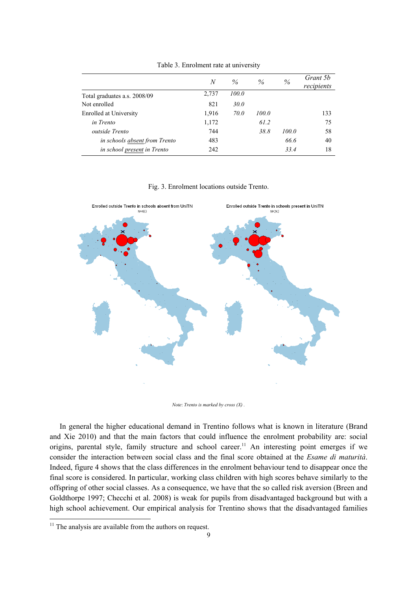|                               | N     | $\%$        | $\%$  | %     | Grant 5 <i>b</i><br>recipients |
|-------------------------------|-------|-------------|-------|-------|--------------------------------|
| Total graduates a.s. 2008/09  | 2,737 | 100.0       |       |       |                                |
| Not enrolled                  | 821   | 30.0        |       |       |                                |
| Enrolled at University        | 1,916 | <i>70.0</i> | 100.0 |       | 133                            |
| in Trento                     | 1,172 |             | 61.2  |       | 75                             |
| <i>outside Trento</i>         | 744   |             | 38.8  | 100.0 | 58                             |
| in schools absent from Trento | 483   |             |       | 66.6  | 40                             |
| in school present in Trento   | 242   |             |       | 33.4  | 18                             |

Table 3. Enrolment rate at university

#### Fig. 3. Enrolment locations outside Trento.



*Note*: *Trento is marked by cross (X) .* 

In general the higher educational demand in Trentino follows what is known in literature (Brand and Xie 2010) and that the main factors that could influence the enrolment probability are: social origins, parental style, family structure and school career.<sup>11</sup> An interesting point emerges if we consider the interaction between social class and the final score obtained at the *Esame di maturità*. Indeed, figure 4 shows that the class differences in the enrolment behaviour tend to disappear once the final score is considered. In particular, working class children with high scores behave similarly to the offspring of other social classes. As a consequence, we have that the so called risk aversion (Breen and Goldthorpe 1997; Checchi et al. 2008) is weak for pupils from disadvantaged background but with a high school achievement. Our empirical analysis for Trentino shows that the disadvantaged families

 $11$  The analysis are available from the authors on request.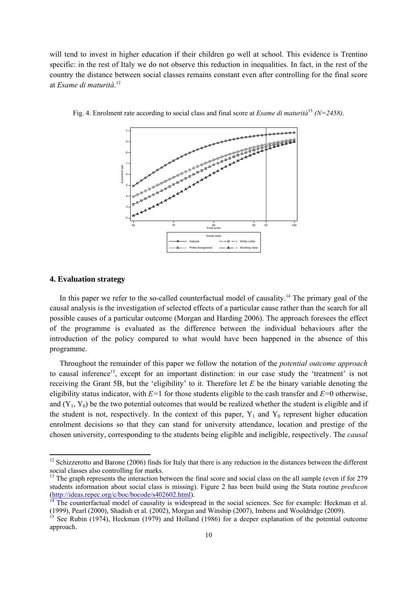will tend to invest in higher education if their children go well at school. This evidence is Trentino specific: in the rest of Italy we do not observe this reduction in inequalities. In fact, in the rest of the country the distance between social classes remains constant even after controlling for the final score at *Esame di maturità*. 12



Fig. 4. Enrolment rate according to social class and final score at *Esame di maturità*<sup>13</sup> *(N=2458)*.

#### **4. Evaluation strategy**

In this paper we refer to the so-called counterfactual model of causality.<sup>14</sup> The primary goal of the causal analysis is the investigation of selected effects of a particular cause rather than the search for all possible causes of a particular outcome (Morgan and Harding 2006). The approach foresees the effect of the programme is evaluated as the difference between the individual behaviours after the introduction of the policy compared to what would have been happened in the absence of this programme.

Throughout the remainder of this paper we follow the notation of the *potential outcome approach* to causal inference<sup>15</sup>, except for an important distinction: in our case study the 'treatment' is not receiving the Grant 5B, but the 'eligibility' to it. Therefore let *E* be the binary variable denoting the eligibility status indicator, with *E=*1 for those students eligible to the cash transfer and *E=*0 otherwise, and  $(Y_1, Y_0)$  be the two potential outcomes that would be realized whether the student is eligible and if the student is not, respectively. In the context of this paper,  $Y_1$  and  $Y_0$  represent higher education enrolment decisions so that they can stand for university attendance, location and prestige of the chosen university, corresponding to the students being eligible and ineligible, respectively. The *causal* 

 $12$  Schizzerotto and Barone (2006) finds for Italy that there is any reduction in the distances between the different social classes also controlling for marks.

<sup>&</sup>lt;sup>13</sup> The graph represents the interaction between the final score and social class on the all sample (even if for 279 students information about social class is missing). Figure 2 has been build using the Stata routine *predxcon* (http://ideas.repec.org/c/boc/bocode/s402602.html). 14 The counterfactual model of causality is widespread in the social sciences. See for example: Heckman et al.

<sup>(1999),</sup> Pearl (2000), Shadish et al. (2002), Morgan and Winship (2007), Imbens and Wooldridge (2009).

<sup>&</sup>lt;sup>15</sup> See Rubin (1974), Heckman (1979) and Holland (1986) for a deeper explanation of the potential outcome approach.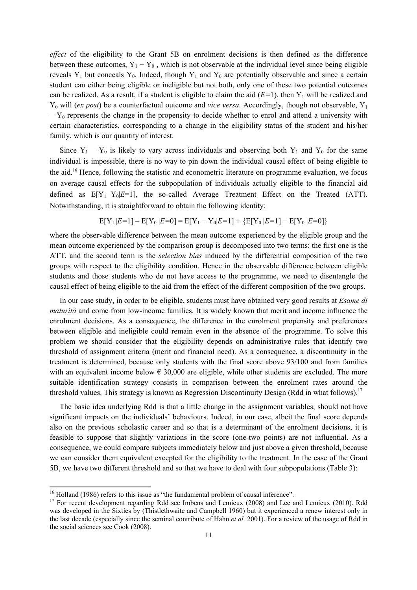*effect* of the eligibility to the Grant 5B on enrolment decisions is then defined as the difference between these outcomes,  $Y_1 - Y_0$ , which is not observable at the individual level since being eligible reveals  $Y_1$  but conceals  $Y_0$ . Indeed, though  $Y_1$  and  $Y_0$  are potentially observable and since a certain student can either being eligible or ineligible but not both, only one of these two potential outcomes can be realized. As a result, if a student is eligible to claim the aid  $(E=1)$ , then  $Y_1$  will be realized and Y<sub>0</sub> will (*ex post*) be a counterfactual outcome and *vice versa*. Accordingly, though not observable, Y<sub>1</sub>  $- Y_0$  represents the change in the propensity to decide whether to enrol and attend a university with certain characteristics, corresponding to a change in the eligibility status of the student and his/her family, which is our quantity of interest.

Since  $Y_1 - Y_0$  is likely to vary across individuals and observing both  $Y_1$  and  $Y_0$  for the same individual is impossible, there is no way to pin down the individual causal effect of being eligible to the aid.16 Hence, following the statistic and econometric literature on programme evaluation, we focus on average causal effects for the subpopulation of individuals actually eligible to the financial aid defined as  $E[Y_1 - Y_0|E=1]$ , the so-called Average Treatment Effect on the Treated (ATT). Notwithstanding, it is straightforward to obtain the following identity:

$$
E[Y_1|E=1] - E[Y_0|E=0] = E[Y_1 - Y_0|E=1] + \{E[Y_0|E=1] - E[Y_0|E=0]\}
$$

where the observable difference between the mean outcome experienced by the eligible group and the mean outcome experienced by the comparison group is decomposed into two terms: the first one is the ATT, and the second term is the *selection bias* induced by the differential composition of the two groups with respect to the eligibility condition. Hence in the observable difference between eligible students and those students who do not have access to the programme, we need to disentangle the causal effect of being eligible to the aid from the effect of the different composition of the two groups.

In our case study, in order to be eligible, students must have obtained very good results at *Esame di maturità* and come from low-income families. It is widely known that merit and income influence the enrolment decisions. As a consequence, the difference in the enrolment propensity and preferences between eligible and ineligible could remain even in the absence of the programme. To solve this problem we should consider that the eligibility depends on administrative rules that identify two threshold of assignment criteria (merit and financial need). As a consequence, a discontinuity in the treatment is determined, because only students with the final score above 93/100 and from families with an equivalent income below  $\epsilon$  30,000 are eligible, while other students are excluded. The more suitable identification strategy consists in comparison between the enrolment rates around the threshold values. This strategy is known as Regression Discontinuity Design (Rdd in what follows).<sup>17</sup>

The basic idea underlying Rdd is that a little change in the assignment variables, should not have significant impacts on the individuals' behaviours. Indeed, in our case, albeit the final score depends also on the previous scholastic career and so that is a determinant of the enrolment decisions, it is feasible to suppose that slightly variations in the score (one-two points) are not influential. As a consequence, we could compare subjects immediately below and just above a given threshold, because we can consider them equivalent excepted for the eligibility to the treatment. In the case of the Grant 5B, we have two different threshold and so that we have to deal with four subpopulations (Table 3):

<sup>&</sup>lt;sup>16</sup> Holland (1986) refers to this issue as "the fundamental problem of causal inference".

<sup>&</sup>lt;sup>17</sup> For recent development regarding Rdd see Imbens and Lemieux (2008) and Lee and Lemieux (2010). Rdd was developed in the Sixties by (Thistlethwaite and Campbell 1960) but it experienced a renew interest only in the last decade (especially since the seminal contribute of Hahn *et al.* 2001). For a review of the usage of Rdd in the social sciences see Cook (2008).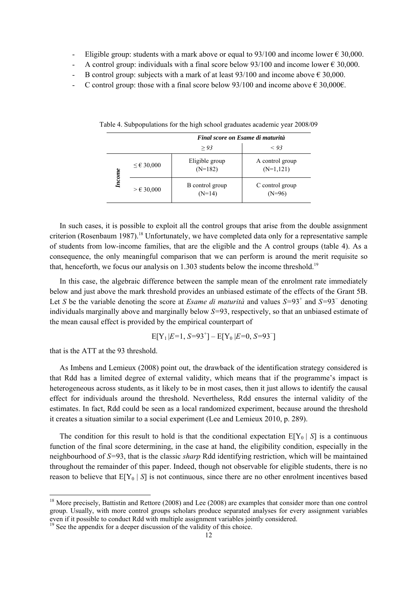- Eligible group: students with a mark above or equal to 93/100 and income lower  $\epsilon$  30,000.
- A control group: individuals with a final score below  $93/100$  and income lower  $\epsilon$  30,000.
- B control group: subjects with a mark of at least  $93/100$  and income above  $\epsilon$  30,000.
- C control group: those with a final score below 93/100 and income above  $\epsilon$  30,000 $\epsilon$ .

|        |                     | Final score on Esame di maturità |                                |  |
|--------|---------------------|----------------------------------|--------------------------------|--|
|        |                     | > 93                             | < 93                           |  |
| Income | $\leq$ € 30,000     | Eligible group<br>$(N=182)$      | A control group<br>$(N=1,121)$ |  |
|        | $> \epsilon$ 30,000 | B control group<br>$(N=14)$      | C control group                |  |

Table 4. Subpopulations for the high school graduates academic year 2008/09

In such cases, it is possible to exploit all the control groups that arise from the double assignment criterion (Rosenbaum 1987).<sup>18</sup> Unfortunately, we have completed data only for a representative sample of students from low-income families, that are the eligible and the A control groups (table 4). As a consequence, the only meaningful comparison that we can perform is around the merit requisite so that, henceforth, we focus our analysis on 1.303 students below the income threshold.<sup>19</sup>

In this case, the algebraic difference between the sample mean of the enrolment rate immediately below and just above the mark threshold provides an unbiased estimate of the effects of the Grant 5B. Let *S* be the variable denoting the score at *Esame di maturità* and values *S*=93<sup>+</sup> and *S*=93<sup>−</sup> denoting individuals marginally above and marginally below *S=*93, respectively, so that an unbiased estimate of the mean causal effect is provided by the empirical counterpart of

$$
E[Y_1|E=1, S=93^+] - E[Y_0|E=0, S=93^-]
$$

that is the ATT at the 93 threshold.

As Imbens and Lemieux (2008) point out, the drawback of the identification strategy considered is that Rdd has a limited degree of external validity, which means that if the programme's impact is heterogeneous across students, as it likely to be in most cases, then it just allows to identify the causal effect for individuals around the threshold. Nevertheless, Rdd ensures the internal validity of the estimates. In fact, Rdd could be seen as a local randomized experiment, because around the threshold it creates a situation similar to a social experiment (Lee and Lemieux 2010, p. 289).

The condition for this result to hold is that the conditional expectation  $E[Y_0 | S]$  is a continuous function of the final score determining, in the case at hand, the eligibility condition, especially in the neighbourhood of *S=*93, that is the classic *sharp* Rdd identifying restriction, which will be maintained throughout the remainder of this paper. Indeed, though not observable for eligible students, there is no reason to believe that  $E[Y_0 | S]$  is not continuous, since there are no other enrolment incentives based

<sup>&</sup>lt;sup>18</sup> More precisely, Battistin and Rettore (2008) and Lee (2008) are examples that consider more than one control group. Usually, with more control groups scholars produce separated analyses for every assignment variables even if it possible to conduct Rdd with multiple assignment variables jointly considered.

<sup>&</sup>lt;sup>19</sup> See the appendix for a deeper discussion of the validity of this choice.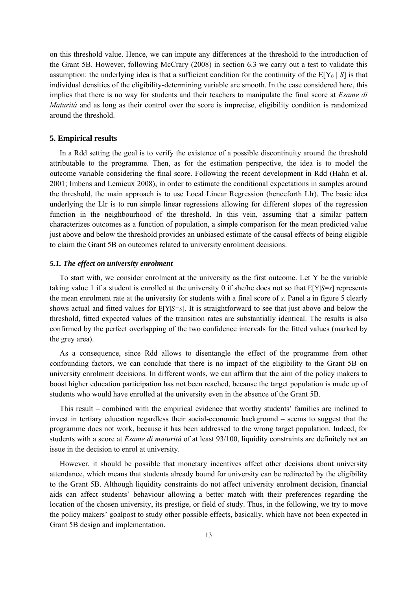on this threshold value. Hence, we can impute any differences at the threshold to the introduction of the Grant 5B. However, following McCrary (2008) in section 6.3 we carry out a test to validate this assumption: the underlying idea is that a sufficient condition for the continuity of the  $E[Y_0 | S]$  is that individual densities of the eligibility-determining variable are smooth. In the case considered here, this implies that there is no way for students and their teachers to manipulate the final score at *Esame di Maturità* and as long as their control over the score is imprecise, eligibility condition is randomized around the threshold.

#### **5. Empirical results**

In a Rdd setting the goal is to verify the existence of a possible discontinuity around the threshold attributable to the programme. Then, as for the estimation perspective, the idea is to model the outcome variable considering the final score. Following the recent development in Rdd (Hahn et al. 2001; Imbens and Lemieux 2008), in order to estimate the conditional expectations in samples around the threshold, the main approach is to use Local Linear Regression (henceforth Llr). The basic idea underlying the Llr is to run simple linear regressions allowing for different slopes of the regression function in the neighbourhood of the threshold. In this vein, assuming that a similar pattern characterizes outcomes as a function of population, a simple comparison for the mean predicted value just above and below the threshold provides an unbiased estimate of the causal effects of being eligible to claim the Grant 5B on outcomes related to university enrolment decisions.

#### *5.1. The effect on university enrolment*

To start with, we consider enrolment at the university as the first outcome. Let Y be the variable taking value 1 if a student is enrolled at the university 0 if she/he does not so that E[Y|*S=s*] represents the mean enrolment rate at the university for students with a final score of *s*. Panel a in figure 5 clearly shows actual and fitted values for E[Y|*S=s*]. It is straightforward to see that just above and below the threshold, fitted expected values of the transition rates are substantially identical. The results is also confirmed by the perfect overlapping of the two confidence intervals for the fitted values (marked by the grey area).

As a consequence, since Rdd allows to disentangle the effect of the programme from other confounding factors, we can conclude that there is no impact of the eligibility to the Grant 5B on university enrolment decisions. In different words, we can affirm that the aim of the policy makers to boost higher education participation has not been reached, because the target population is made up of students who would have enrolled at the university even in the absence of the Grant 5B.

This result – combined with the empirical evidence that worthy students' families are inclined to invest in tertiary education regardless their social-economic background – seems to suggest that the programme does not work, because it has been addressed to the wrong target population. Indeed, for students with a score at *Esame di maturità* of at least 93/100, liquidity constraints are definitely not an issue in the decision to enrol at university.

However, it should be possible that monetary incentives affect other decisions about university attendance, which means that students already bound for university can be redirected by the eligibility to the Grant 5B. Although liquidity constraints do not affect university enrolment decision, financial aids can affect students' behaviour allowing a better match with their preferences regarding the location of the chosen university, its prestige, or field of study. Thus, in the following, we try to move the policy makers' goalpost to study other possible effects, basically, which have not been expected in Grant 5B design and implementation.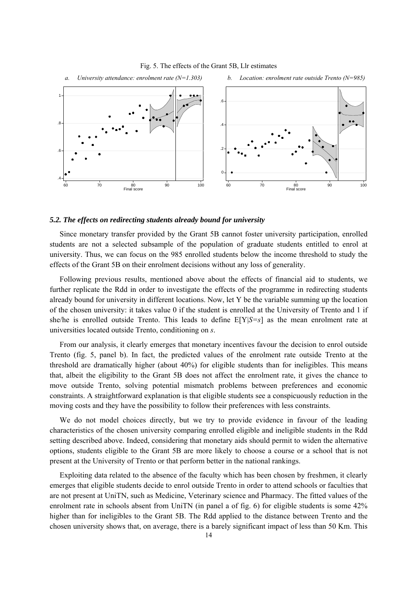

#### Fig. 5. The effects of the Grant 5B, Llr estimates

#### *5.2. The effects on redirecting students already bound for university*

Since monetary transfer provided by the Grant 5B cannot foster university participation, enrolled students are not a selected subsample of the population of graduate students entitled to enrol at university. Thus, we can focus on the 985 enrolled students below the income threshold to study the effects of the Grant 5B on their enrolment decisions without any loss of generality.

Following previous results, mentioned above about the effects of financial aid to students, we further replicate the Rdd in order to investigate the effects of the programme in redirecting students already bound for university in different locations. Now, let Y be the variable summing up the location of the chosen university: it takes value 0 if the student is enrolled at the University of Trento and 1 if she/he is enrolled outside Trento. This leads to define E[Y|*S=s*] as the mean enrolment rate at universities located outside Trento, conditioning on *s*.

From our analysis, it clearly emerges that monetary incentives favour the decision to enrol outside Trento (fig. 5, panel b). In fact, the predicted values of the enrolment rate outside Trento at the threshold are dramatically higher (about 40%) for eligible students than for ineligibles. This means that, albeit the eligibility to the Grant 5B does not affect the enrolment rate, it gives the chance to move outside Trento, solving potential mismatch problems between preferences and economic constraints. A straightforward explanation is that eligible students see a conspicuously reduction in the moving costs and they have the possibility to follow their preferences with less constraints.

We do not model choices directly, but we try to provide evidence in favour of the leading characteristics of the chosen university comparing enrolled eligible and ineligible students in the Rdd setting described above. Indeed, considering that monetary aids should permit to widen the alternative options, students eligible to the Grant 5B are more likely to choose a course or a school that is not present at the University of Trento or that perform better in the national rankings.

Exploiting data related to the absence of the faculty which has been chosen by freshmen, it clearly emerges that eligible students decide to enrol outside Trento in order to attend schools or faculties that are not present at UniTN, such as Medicine, Veterinary science and Pharmacy. The fitted values of the enrolment rate in schools absent from UniTN (in panel a of fig. 6) for eligible students is some 42% higher than for ineligibles to the Grant 5B. The Rdd applied to the distance between Trento and the chosen university shows that, on average, there is a barely significant impact of less than 50 Km. This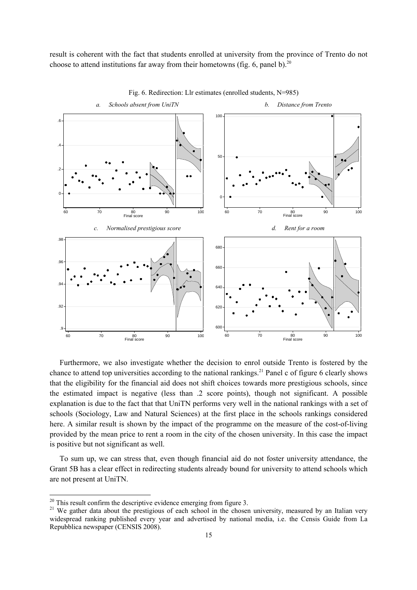result is coherent with the fact that students enrolled at university from the province of Trento do not choose to attend institutions far away from their hometowns (fig. 6, panel b).<sup>20</sup>



Fig. 6. Redirection: Llr estimates (enrolled students, N=985)

Furthermore, we also investigate whether the decision to enrol outside Trento is fostered by the chance to attend top universities according to the national rankings.<sup>21</sup> Panel c of figure 6 clearly shows that the eligibility for the financial aid does not shift choices towards more prestigious schools, since the estimated impact is negative (less than .2 score points), though not significant. A possible explanation is due to the fact that that UniTN performs very well in the national rankings with a set of schools (Sociology, Law and Natural Sciences) at the first place in the schools rankings considered here. A similar result is shown by the impact of the programme on the measure of the cost-of-living provided by the mean price to rent a room in the city of the chosen university. In this case the impact is positive but not significant as well.

To sum up, we can stress that, even though financial aid do not foster university attendance, the Grant 5B has a clear effect in redirecting students already bound for university to attend schools which are not present at UniTN.

<sup>&</sup>lt;sup>20</sup> This result confirm the descriptive evidence emerging from figure 3.<br><sup>21</sup> We gather data about the prestigious of each school in the chosen university, measured by an Italian very widespread ranking published every year and advertised by national media, i.e. the Censis Guide from La Repubblica newspaper (CENSIS 2008).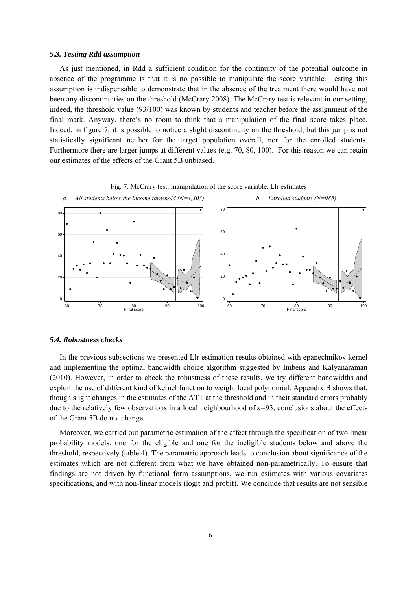#### *5.3. Testing Rdd assumption*

As just mentioned, in Rdd a sufficient condition for the continuity of the potential outcome in absence of the programme is that it is no possible to manipulate the score variable. Testing this assumption is indispensable to demonstrate that in the absence of the treatment there would have not been any discontinuities on the threshold (McCrary 2008). The McCrary test is relevant in our setting, indeed, the threshold value (93/100) was known by students and teacher before the assignment of the final mark. Anyway, there's no room to think that a manipulation of the final score takes place. Indeed, in figure 7, it is possible to notice a slight discontinuity on the threshold, but this jump is not statistically significant neither for the target population overall, nor for the enrolled students. Furthermore there are larger jumps at different values (e.g. 70, 80, 100). For this reason we can retain our estimates of the effects of the Grant 5B unbiased.





#### *5.4. Robustness checks*

In the previous subsections we presented Llr estimation results obtained with epanechnikov kernel and implementing the optimal bandwidth choice algorithm suggested by Imbens and Kalyanaraman (2010). However, in order to check the robustness of these results, we try different bandwidths and exploit the use of different kind of kernel function to weight local polynomial. Appendix B shows that, though slight changes in the estimates of the ATT at the threshold and in their standard errors probably due to the relatively few observations in a local neighbourhood of *s=*93, conclusions about the effects of the Grant 5B do not change.

Moreover, we carried out parametric estimation of the effect through the specification of two linear probability models, one for the eligible and one for the ineligible students below and above the threshold, respectively (table 4). The parametric approach leads to conclusion about significance of the estimates which are not different from what we have obtained non-parametrically. To ensure that findings are not driven by functional form assumptions, we run estimates with various covariates specifications, and with non-linear models (logit and probit). We conclude that results are not sensible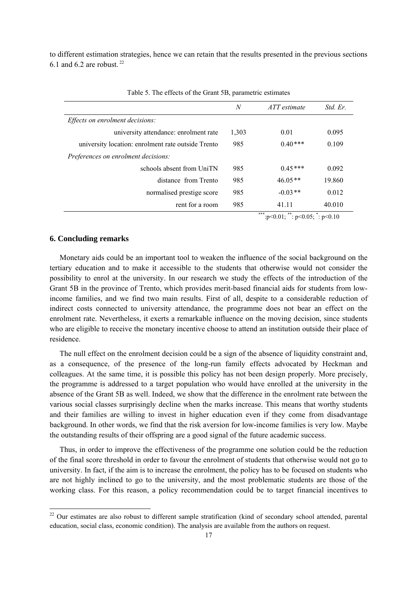to different estimation strategies, hence we can retain that the results presented in the previous sections 6.1 and 6.2 are robust.  $22$ 

|                                                    | N     | ATT estimate             | Std. Er. |
|----------------------------------------------------|-------|--------------------------|----------|
| Effects on enrolment decisions:                    |       |                          |          |
| university attendance: enrolment rate              | 1,303 | 0.01                     | 0.095    |
| university location: enrolment rate outside Trento | 985   | $0.40***$                | 0.109    |
| <i>Preferences on enrolment decisions:</i>         |       |                          |          |
| schools absent from UniTN                          | 985   | $0.45***$                | 0.092    |
| distance from Trento                               | 985   | $46.05**$                | 19.860   |
| normalised prestige score                          | 985   | $-0.03**$                | 0.012    |
| rent for a room                                    | 985   | 41.11                    | 40.010   |
|                                                    |       | ملك ملك ملك<br>alle alle |          |

Table 5. The effects of the Grant 5B, parametric estimates

\*\*\*:p<0.01; \*\*: p<0.05;  $\overline{ }$ : p<0.10

#### **6. Concluding remarks**

Monetary aids could be an important tool to weaken the influence of the social background on the tertiary education and to make it accessible to the students that otherwise would not consider the possibility to enrol at the university. In our research we study the effects of the introduction of the Grant 5B in the province of Trento, which provides merit-based financial aids for students from lowincome families, and we find two main results. First of all, despite to a considerable reduction of indirect costs connected to university attendance, the programme does not bear an effect on the enrolment rate. Nevertheless, it exerts a remarkable influence on the moving decision, since students who are eligible to receive the monetary incentive choose to attend an institution outside their place of residence.

The null effect on the enrolment decision could be a sign of the absence of liquidity constraint and, as a consequence, of the presence of the long-run family effects advocated by Heckman and colleagues. At the same time, it is possible this policy has not been design properly. More precisely, the programme is addressed to a target population who would have enrolled at the university in the absence of the Grant 5B as well. Indeed, we show that the difference in the enrolment rate between the various social classes surprisingly decline when the marks increase. This means that worthy students and their families are willing to invest in higher education even if they come from disadvantage background. In other words, we find that the risk aversion for low-income families is very low. Maybe the outstanding results of their offspring are a good signal of the future academic success.

Thus, in order to improve the effectiveness of the programme one solution could be the reduction of the final score threshold in order to favour the enrolment of students that otherwise would not go to university. In fact, if the aim is to increase the enrolment, the policy has to be focused on students who are not highly inclined to go to the university, and the most problematic students are those of the working class. For this reason, a policy recommendation could be to target financial incentives to

 $22$  Our estimates are also robust to different sample stratification (kind of secondary school attended, parental education, social class, economic condition). The analysis are available from the authors on request.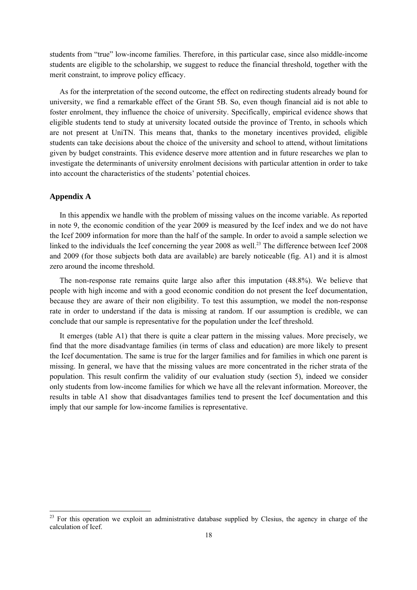students from "true" low-income families. Therefore, in this particular case, since also middle-income students are eligible to the scholarship, we suggest to reduce the financial threshold, together with the merit constraint, to improve policy efficacy.

As for the interpretation of the second outcome, the effect on redirecting students already bound for university, we find a remarkable effect of the Grant 5B. So, even though financial aid is not able to foster enrolment, they influence the choice of university. Specifically, empirical evidence shows that eligible students tend to study at university located outside the province of Trento, in schools which are not present at UniTN. This means that, thanks to the monetary incentives provided, eligible students can take decisions about the choice of the university and school to attend, without limitations given by budget constraints. This evidence deserve more attention and in future researches we plan to investigate the determinants of university enrolment decisions with particular attention in order to take into account the characteristics of the students' potential choices.

#### **Appendix A**

In this appendix we handle with the problem of missing values on the income variable. As reported in note 9, the economic condition of the year 2009 is measured by the Icef index and we do not have the Icef 2009 information for more than the half of the sample. In order to avoid a sample selection we linked to the individuals the Icef concerning the year 2008 as well.<sup>23</sup> The difference between Icef 2008 and 2009 (for those subjects both data are available) are barely noticeable (fig. A1) and it is almost zero around the income threshold.

The non-response rate remains quite large also after this imputation (48.8%). We believe that people with high income and with a good economic condition do not present the Icef documentation, because they are aware of their non eligibility. To test this assumption, we model the non-response rate in order to understand if the data is missing at random. If our assumption is credible, we can conclude that our sample is representative for the population under the Icef threshold.

It emerges (table A1) that there is quite a clear pattern in the missing values. More precisely, we find that the more disadvantage families (in terms of class and education) are more likely to present the Icef documentation. The same is true for the larger families and for families in which one parent is missing. In general, we have that the missing values are more concentrated in the richer strata of the population. This result confirm the validity of our evaluation study (section 5), indeed we consider only students from low-income families for which we have all the relevant information. Moreover, the results in table A1 show that disadvantages families tend to present the Icef documentation and this imply that our sample for low-income families is representative.

<sup>&</sup>lt;sup>23</sup> For this operation we exploit an administrative database supplied by Clesius, the agency in charge of the calculation of Icef.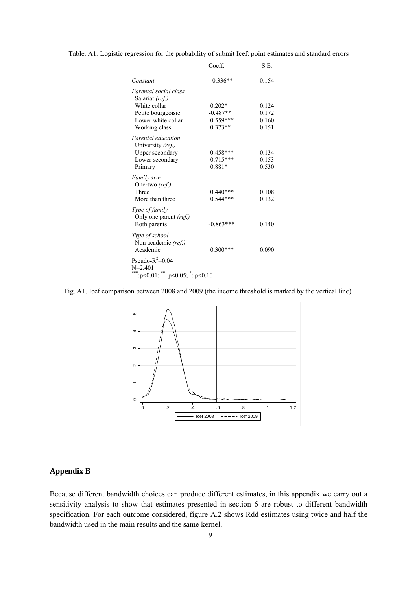|                                         | Coeff.      | S.E.  |  |
|-----------------------------------------|-------------|-------|--|
| Constant                                | $-0.336**$  | 0.154 |  |
| Parental social class                   |             |       |  |
| Salariat (ref.)<br>White collar         | $0.202*$    | 0.124 |  |
| Petite bourgeoisie                      | $-0.487**$  | 0.172 |  |
| Lower white collar                      | $0.559***$  | 0.160 |  |
| Working class                           | $0.373**$   | 0.151 |  |
| Parental education                      |             |       |  |
| University (ref.)                       |             |       |  |
| <b>Upper secondary</b>                  | $0.458***$  | 0.134 |  |
| Lower secondary                         | $0.715***$  | 0.153 |  |
| Primary                                 | $0.881*$    | 0.530 |  |
| Family size                             |             |       |  |
| One-two (ref.)                          |             |       |  |
| Three                                   | $0.440***$  | 0.108 |  |
| More than three                         | $0.544***$  | 0.132 |  |
| Type of family                          |             |       |  |
| Only one parent (ref.)                  |             |       |  |
| Both parents                            | $-0.863***$ | 0.140 |  |
|                                         |             |       |  |
| Type of school                          |             |       |  |
| Non academic (ref.)<br>Academic         | $0.300***$  | 0.090 |  |
|                                         |             |       |  |
| Pseudo- $R^2$ =0.04                     |             |       |  |
| $N=2,401$                               |             |       |  |
| : $p<0.01$ ; **: $p<0.05$ ; *: $p<0.10$ |             |       |  |

Table. A1*.* Logistic regression for the probability of submit Icef: point estimates and standard errors

Fig. A1. Icef comparison between 2008 and 2009 (the income threshold is marked by the vertical line).



#### **Appendix B**

Because different bandwidth choices can produce different estimates, in this appendix we carry out a sensitivity analysis to show that estimates presented in section 6 are robust to different bandwidth specification. For each outcome considered, figure A.2 shows Rdd estimates using twice and half the bandwidth used in the main results and the same kernel.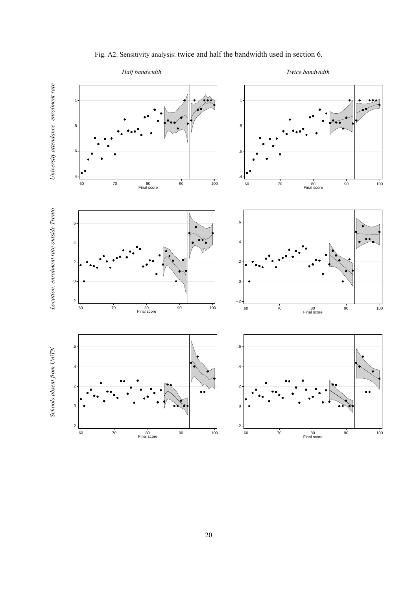

### Fig. A2. Sensitivity analysis: twice and half the bandwidth used in section 6.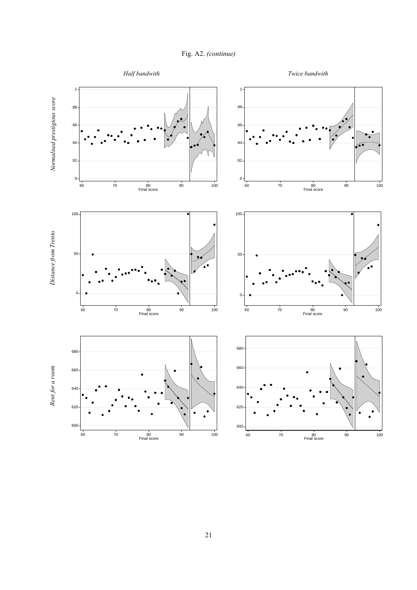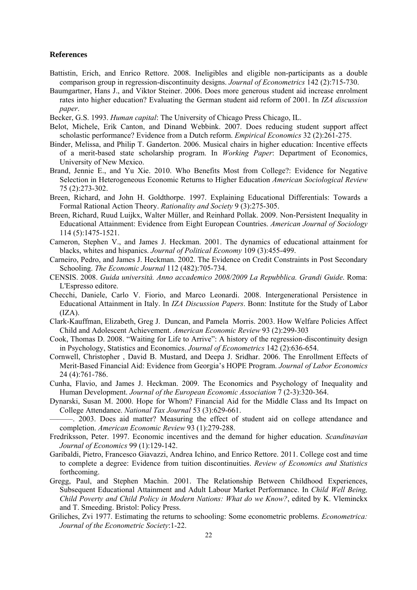#### **References**

- Battistin, Erich, and Enrico Rettore. 2008. Ineligibles and eligible non-participants as a double comparison group in regression-discontinuity designs. *Journal of Econometrics* 142 (2):715-730.
- Baumgartner, Hans J., and Viktor Steiner. 2006. Does more generous student aid increase enrolment rates into higher education? Evaluating the German student aid reform of 2001. In *IZA discussion paper*.
- Becker, G.S. 1993. *Human capital*: The University of Chicago Press Chicago, IL.
- Belot, Michele, Erik Canton, and Dinand Webbink. 2007. Does reducing student support affect scholastic performance? Evidence from a Dutch reform. *Empirical Economics* 32 (2):261-275.
- Binder, Melissa, and Philip T. Ganderton. 2006. Musical chairs in higher education: Incentive effects of a merit-based state scholarship program. In *Working Paper*: Department of Economics, University of New Mexico.
- Brand, Jennie E., and Yu Xie. 2010. Who Benefits Most from College?: Evidence for Negative Selection in Heterogeneous Economic Returns to Higher Education *American Sociological Review* 75 (2):273-302.
- Breen, Richard, and John H. Goldthorpe. 1997. Explaining Educational Differentials: Towards a Formal Rational Action Theory. *Rationality and Society* 9 (3):275-305.
- Breen, Richard, Ruud Luijkx, Walter Müller, and Reinhard Pollak. 2009. Non-Persistent Inequality in Educational Attainment: Evidence from Eight European Countries. *American Journal of Sociology* 114 (5):1475-1521.
- Cameron, Stephen V., and James J. Heckman. 2001. The dynamics of educational attainment for blacks, whites and hispanics. *Journal of Political Economy* 109 (3):455-499.
- Carneiro, Pedro, and James J. Heckman. 2002. The Evidence on Credit Constraints in Post Secondary Schooling. *The Economic Journal* 112 (482):705-734.
- CENSIS. 2008. *Guida università. Anno accademico 2008/2009 La Repubblica. Grandi Guide*. Roma: L'Espresso editore.
- Checchi, Daniele, Carlo V. Fiorio, and Marco Leonardi. 2008. Intergenerational Persistence in Educational Attainment in Italy. In *IZA Discussion Papers*. Bonn: Institute for the Study of Labor  $(IZA)$ .
- Clark-Kauffman, Elizabeth, Greg J. Duncan, and Pamela Morris. 2003. How Welfare Policies Affect Child and Adolescent Achievement. *American Economic Review* 93 (2):299-303
- Cook, Thomas D. 2008. "Waiting for Life to Arrive": A history of the regression-discontinuity design in Psychology, Statistics and Economics. *Journal of Econometrics* 142 (2):636-654.
- Cornwell, Christopher , David B. Mustard, and Deepa J. Sridhar. 2006. The Enrollment Effects of Merit-Based Financial Aid: Evidence from Georgia's HOPE Program. *Journal of Labor Economics* 24 (4):761-786.
- Cunha, Flavio, and James J. Heckman. 2009. The Economics and Psychology of Inequality and Human Development. *Journal of the European Economic Association* 7 (2-3):320-364.
- Dynarski, Susan M. 2000. Hope for Whom? Financial Aid for the Middle Class and Its Impact on College Attendance. *National Tax Journal* 53 (3):629-661.
- ———. 2003. Does aid matter? Measuring the effect of student aid on college attendance and completion. *American Economic Review* 93 (1):279-288.
- Fredriksson, Peter. 1997. Economic incentives and the demand for higher education. *Scandinavian Journal of Economics* 99 (1):129-142.
- Garibaldi, Pietro, Francesco Giavazzi, Andrea Ichino, and Enrico Rettore. 2011. College cost and time to complete a degree: Evidence from tuition discontinuities. *Review of Economics and Statistics* forthcoming.
- Gregg, Paul, and Stephen Machin. 2001. The Relationship Between Childhood Experiences, Subsequent Educational Attainment and Adult Labour Market Performance. In *Child Well Being, Child Poverty and Child Policy in Modern Nations: What do we Know?*, edited by K. Vleminckx and T. Smeeding. Bristol: Policy Press.
- Griliches, Zvi 1977. Estimating the returns to schooling: Some econometric problems. *Econometrica: Journal of the Econometric Society*:1-22.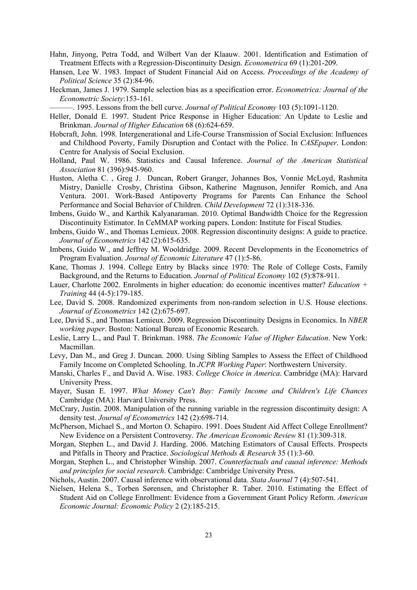- Hahn, Jinyong, Petra Todd, and Wilbert Van der Klaauw. 2001. Identification and Estimation of Treatment Effects with a Regression-Discontinuity Design. *Econometrica* 69 (1):201-209.
- Hansen, Lee W. 1983. Impact of Student Financial Aid on Access. *Proceedings of the Academy of Political Science* 35 (2):84-96.
- Heckman, James J. 1979. Sample selection bias as a specification error. *Econometrica: Journal of the Econometric Society*:153-161.

———. 1995. Lessons from the bell curve. *Journal of Political Economy* 103 (5):1091-1120.

- Heller, Donald E. 1997. Student Price Response in Higher Education: An Update to Leslie and Brinkman. *Journal of Higher Education* 68 (6):624-659.
- Hobcraft, John. 1998. Intergenerational and Life-Course Transmission of Social Exclusion: Influences and Childhood Poverty, Family Disruption and Contact with the Police. In *CASEpaper*. London: Centre for Analysis of Social Exclusion.
- Holland, Paul W. 1986. Statistics and Causal Inference. *Journal of the American Statistical Association* 81 (396):945-960.
- Huston, Aletha C. , Greg J. Duncan, Robert Granger, Johannes Bos, Vonnie McLoyd, Rashmita Mistry, Danielle Crosby, Christina Gibson, Katherine Magnuson, Jennifer Romich, and Ana Ventura. 2001. Work-Based Antipoverty Programs for Parents Can Enhance the School Performance and Social Behavior of Children. *Child Development* 72 (1):318-336.
- Imbens, Guido W., and Karthik Kalyanaraman. 2010. Optimal Bandwidth Choice for the Regression Discontinuity Estimator. In CeMMAP working papers. London: Institute for Fiscal Studies.
- Imbens, Guido W., and Thomas Lemieux. 2008. Regression discontinuity designs: A guide to practice. *Journal of Econometrics* 142 (2):615-635.
- Imbens, Guido W., and Jeffrey M. Wooldridge. 2009. Recent Developments in the Econometrics of Program Evaluation. *Journal of Economic Literature* 47 (1):5-86.
- Kane, Thomas J. 1994. College Entry by Blacks since 1970: The Role of College Costs, Family Background, and the Returns to Education. *Journal of Political Economy* 102 (5):878-911.
- Lauer, Charlotte 2002. Enrolments in higher education: do economic incentives matter? *Education + Training* 44 (4-5):179-185.
- Lee, David S. 2008. Randomized experiments from non-random selection in U.S. House elections. *Journal of Econometrics* 142 (2):675-697.
- Lee, David S., and Thomas Lemieux. 2009. Regression Discontinuity Designs in Economics. In *NBER working paper*. Boston: National Bureau of Economic Research.
- Leslie, Larry L., and Paul T. Brinkman. 1988. *The Economic Value of Higher Education*. New York: Macmillan.
- Levy, Dan M., and Greg J. Duncan. 2000. Using Sibling Samples to Assess the Effect of Childhood Family Income on Completed Schooling. In *JCPR Working Paper*: Northwestern University.
- Manski, Charles F., and David A. Wise. 1983. *College Choice in America*. Cambridge (MA): Harvard University Press.
- Mayer, Susan E. 1997. *What Money Can't Buy: Family Income and Children's Life Chances*  Cambridge (MA): Harvard University Press.
- McCrary, Justin. 2008. Manipulation of the running variable in the regression discontinuity design: A density test. *Journal of Econometrics* 142 (2):698-714.
- McPherson, Michael S., and Morton O. Schapiro. 1991. Does Student Aid Affect College Enrollment? New Evidence on a Persistent Controversy. *The American Economic Review* 81 (1):309-318.
- Morgan, Stephen L., and David J. Harding. 2006. Matching Estimators of Causal Effects. Prospects and Pitfalls in Theory and Practice. *Sociological Methods & Research* 35 (1):3-60.
- Morgan, Stephen L., and Christopher Winship. 2007. *Counterfactuals and causal inference: Methods and principles for social research*. Cambridge: Cambridge University Press.
- Nichols, Austin. 2007. Causal inference with observational data. *Stata Journal* 7 (4):507-541.
- Nielsen, Helena S., Torben Sørensen, and Christopher R. Taber. 2010. Estimating the Effect of Student Aid on College Enrollment: Evidence from a Government Grant Policy Reform. *American Economic Journal: Economic Policy* 2 (2):185-215.